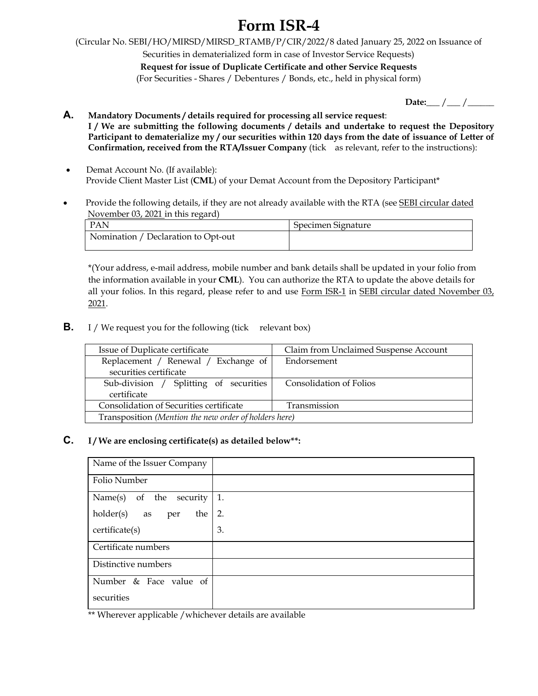## **Form ISR-4**

(Circular No. SEBI/HO/MIRSD/MIRSD\_RTAMB/P/CIR/2022/8 dated January 25, 2022 on Issuance of

Securities in dematerialized form in case of Investor Service Requests)

**Request for issue of Duplicate Certificate and other Service Requests**  (For Securities - Shares / Debentures / Bonds, etc., held in physical form)

| Date: |  |
|-------|--|
|       |  |

**A. Mandatory Documents / details required for processing all service request**: **I / We are submitting the following documents / details and undertake to request the Depository Participant to dematerialize my / our securities within 120 days from the date of issuance of Letter of Confirmation, received from the RTA/Issuer Company** (tick as relevant, refer to the instructions):

- Demat Account No. (If available): Provide Client Master List (**CML**) of your Demat Account from the Depository Participant\*
- Provide the following details, if they are not already available with the RTA (see SEBI circular dated November 03, 2021 in this regard)

| - PAN                               | Specimen Signature |
|-------------------------------------|--------------------|
| Nomination / Declaration to Opt-out |                    |

\*(Your address, e-mail address, mobile number and bank details shall be updated in your folio from the information available in your **CML**). You can authorize the RTA to update the above details for all your folios. In this regard, please refer to and use Form ISR-1 in SEBI circular dated November 03, 2021.

**B.** I / We request you for the following (tick relevant box)

| Issue of Duplicate certificate                        | Claim from Unclaimed Suspense Account |  |
|-------------------------------------------------------|---------------------------------------|--|
|                                                       |                                       |  |
| Replacement / Renewal / Exchange of                   | Endorsement                           |  |
| securities certificate                                |                                       |  |
| Sub-division / Splitting of securities                | Consolidation of Folios               |  |
| certificate                                           |                                       |  |
| Consolidation of Securities certificate               | Transmission                          |  |
| Transposition (Mention the new order of holders here) |                                       |  |

## **C. I / We are enclosing certificate(s) as detailed below\*\*:**

| Name of the Issuer Company    |    |
|-------------------------------|----|
| Folio Number                  |    |
| of the<br>Name(s)<br>security | 1. |
| $holder(s)$ as<br>the<br>per  | 2. |
| certificate(s)                | 3. |
| Certificate numbers           |    |
| Distinctive numbers           |    |
| Number & Face value of        |    |
| securities                    |    |

\*\* Wherever applicable /whichever details are available